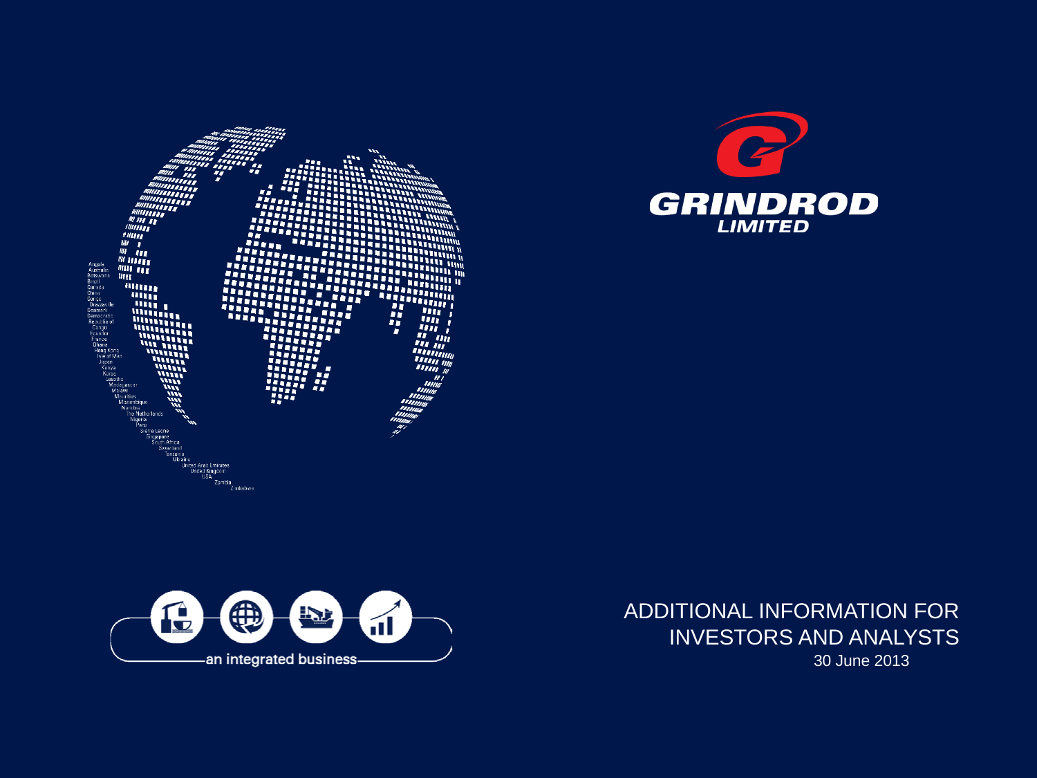





ADDITIONAL INFORMATION FOR INVESTORS AND ANALYSTS 30 June 2013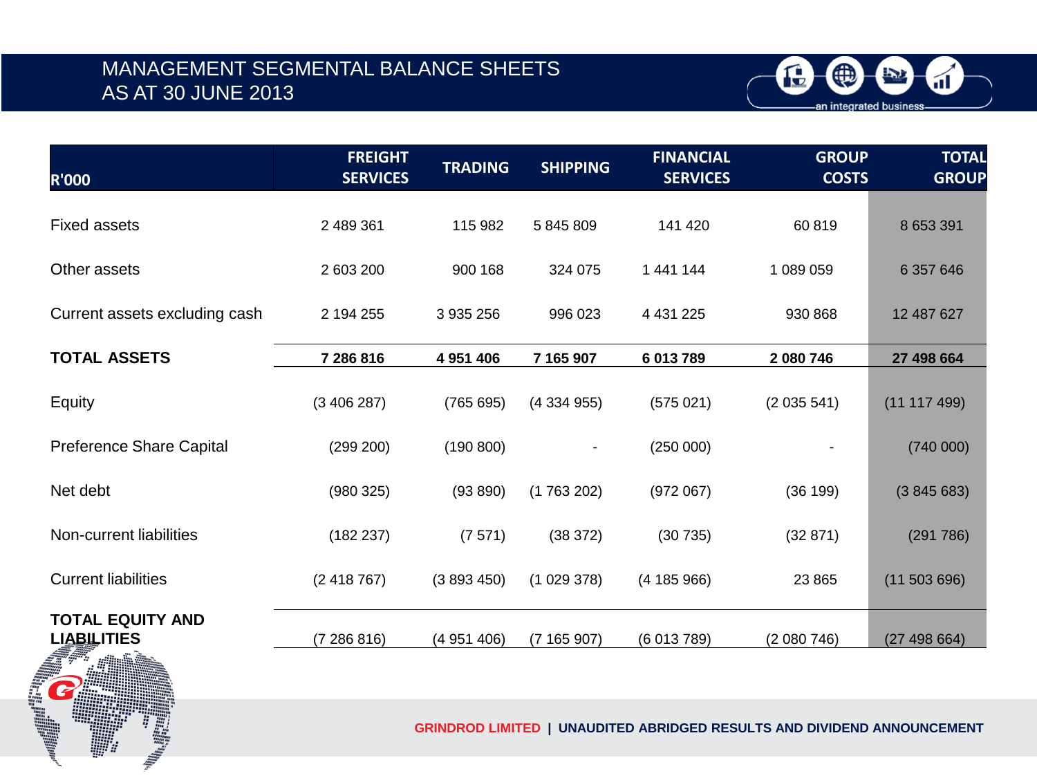## MANAGEMENT SEGMENTAL BALANCE SHEETS AS AT 30 JUNE 2013



| <b>R'000</b>                                  | <b>FREIGHT</b><br><b>SERVICES</b> | <b>TRADING</b> | <b>SHIPPING</b> | <b>FINANCIAL</b><br><b>SERVICES</b> | <b>GROUP</b><br><b>COSTS</b> | <b>TOTAL</b><br><b>GROUP</b> |
|-----------------------------------------------|-----------------------------------|----------------|-----------------|-------------------------------------|------------------------------|------------------------------|
| <b>Fixed assets</b>                           | 2 489 361                         | 115 982        | 5 845 809       | 141 420                             | 60819                        | 8 653 391                    |
| Other assets                                  | 2 603 200                         | 900 168        | 324 075         | 1 441 144                           | 1 089 059                    | 6 357 646                    |
| Current assets excluding cash                 | 2 194 255                         | 3 935 256      | 996 023         | 4 4 3 1 2 2 5                       | 930 868                      | 12 487 627                   |
| <b>TOTAL ASSETS</b>                           | 7 286 816                         | 4 951 406      | 7 165 907       | 6 013 789                           | 2 080 746                    | 27 498 664                   |
| Equity                                        | (3406287)                         | (765695)       | (4334955)       | (575021)                            | (2035541)                    | (11 117 499)                 |
| <b>Preference Share Capital</b>               | (299 200)                         | (190 800)      | $\blacksquare$  | (250000)                            |                              | (740000)                     |
| Net debt                                      | (980325)                          | (93 890)       | (1763202)       | (972067)                            | (36 199)                     | (3845683)                    |
| Non-current liabilities                       | (182 237)                         | (7571)         | (38 372)        | (30735)                             | (32 871)                     | (291786)                     |
| <b>Current liabilities</b>                    | (2418767)                         | (3893450)      | (1029378)       | (4185966)                           | 23 8 65                      | (11503696)                   |
| <b>TOTAL EQUITY AND</b><br><b>LIABILITIES</b> | (7286816)                         | (4951406)      | (7165907)       | (6013789)                           | (2080746)                    | (27498664)                   |



**GRINDROD LIMITED | UNAUDITED ABRIDGED RESULTS AND DIVIDEND ANNOUNCEMENT**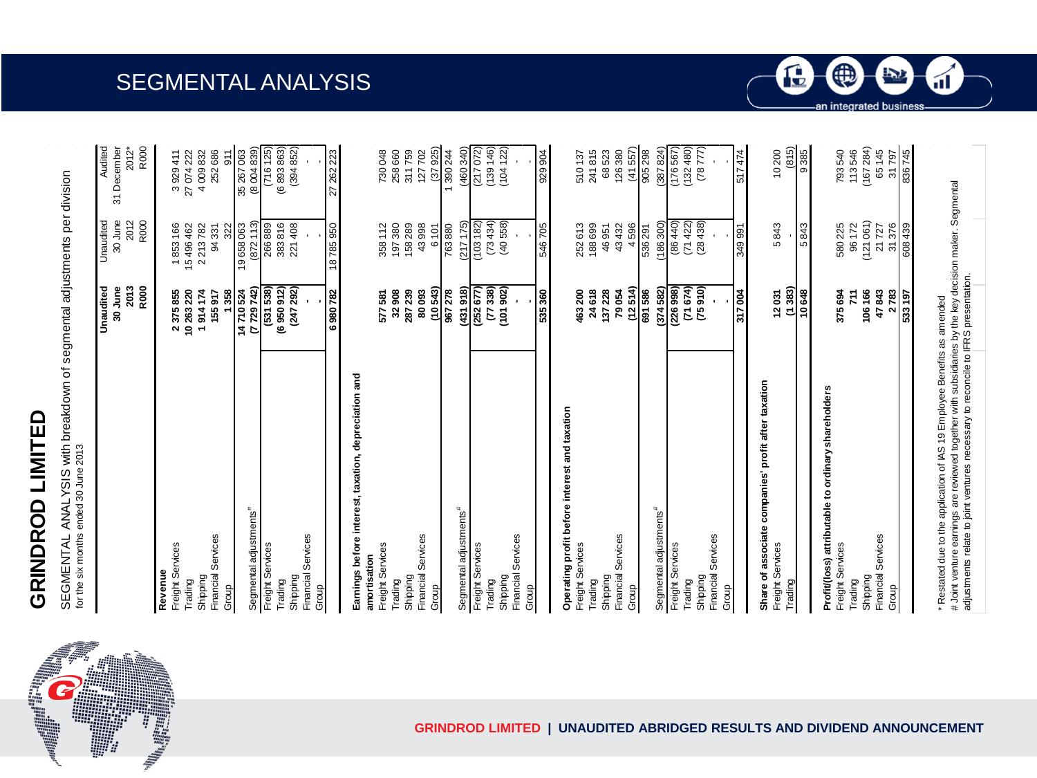# **GRINDROD LIMITED** GRINDROD LIMITED

SEGMENTAL ANALYSIS with breakdown of segmental adjustments per division<br>for the six months ended 30 June 2013 SEGMENTAL ANALYSIS with breakdown of segmental adjustments per division for the six months ended 30 June 2013

SEGMENTAL ANALYSIS

| 188699<br>252613<br>(872<br>2013<br>R000<br>(6950912)<br>30 June<br>(247292)<br>(10543)<br>(252677)<br>338)<br>(101902)<br>(855 155)<br>(431918)<br>7729742<br>6980782<br>535360<br>10263220<br>914174<br>14710524<br>32908<br>967278<br>24 618<br>137 228<br>239<br>80093<br>463200<br>2375855<br>358<br>155917<br>577581<br>287<br>E<br>᠇<br>Earnings before interest, taxation, depreciation and<br>Operating profit before interest and taxation<br>Segmental adjustments <sup>#</sup><br>Segmental adjustments <sup>#</sup><br>Financial Services<br>Financial Services<br>Financial Services<br>Financial Services<br>Freight Services<br>Freight Services<br>Freight Services<br>Freight Services<br>Freight Services<br>amortisation<br>Revenue<br>Shipping<br>Shipping<br>Shipping<br>Shipping<br>Shipping<br>Trading<br>Trading<br>Trading<br>Trading<br>Trading<br>Group<br>Group<br>Group<br>Group | 30 June<br>2012<br>R000<br>(103 182)<br>(73434)<br>(40558)<br>(3)<br>(217175)<br>18785950<br>546705<br>266889<br>383816<br>221408<br>197380<br>158289<br>43998<br>15496462<br>2213782<br>19658063<br>763880<br>1853166<br>94331<br>358112<br>6101<br>322 | 31 December<br>2012*<br>R <sub>000</sub><br>35 267 063<br>(6893863)<br>(394852)<br>(37925)<br>258 660<br>252 686<br>27 262 223<br>4009832<br>730 048<br>127702<br>27 074 222<br>3 929 411<br>911<br>$\overline{ }$ |
|----------------------------------------------------------------------------------------------------------------------------------------------------------------------------------------------------------------------------------------------------------------------------------------------------------------------------------------------------------------------------------------------------------------------------------------------------------------------------------------------------------------------------------------------------------------------------------------------------------------------------------------------------------------------------------------------------------------------------------------------------------------------------------------------------------------------------------------------------------------------------------------------------------------|----------------------------------------------------------------------------------------------------------------------------------------------------------------------------------------------------------------------------------------------------------|--------------------------------------------------------------------------------------------------------------------------------------------------------------------------------------------------------------------|
|                                                                                                                                                                                                                                                                                                                                                                                                                                                                                                                                                                                                                                                                                                                                                                                                                                                                                                                |                                                                                                                                                                                                                                                          |                                                                                                                                                                                                                    |
|                                                                                                                                                                                                                                                                                                                                                                                                                                                                                                                                                                                                                                                                                                                                                                                                                                                                                                                |                                                                                                                                                                                                                                                          | (8004839)<br>(460, 340)<br>(716 125)<br>(217072)<br>311759<br>390 244                                                                                                                                              |
|                                                                                                                                                                                                                                                                                                                                                                                                                                                                                                                                                                                                                                                                                                                                                                                                                                                                                                                |                                                                                                                                                                                                                                                          |                                                                                                                                                                                                                    |
|                                                                                                                                                                                                                                                                                                                                                                                                                                                                                                                                                                                                                                                                                                                                                                                                                                                                                                                |                                                                                                                                                                                                                                                          |                                                                                                                                                                                                                    |
|                                                                                                                                                                                                                                                                                                                                                                                                                                                                                                                                                                                                                                                                                                                                                                                                                                                                                                                |                                                                                                                                                                                                                                                          |                                                                                                                                                                                                                    |
|                                                                                                                                                                                                                                                                                                                                                                                                                                                                                                                                                                                                                                                                                                                                                                                                                                                                                                                |                                                                                                                                                                                                                                                          |                                                                                                                                                                                                                    |
|                                                                                                                                                                                                                                                                                                                                                                                                                                                                                                                                                                                                                                                                                                                                                                                                                                                                                                                |                                                                                                                                                                                                                                                          |                                                                                                                                                                                                                    |
|                                                                                                                                                                                                                                                                                                                                                                                                                                                                                                                                                                                                                                                                                                                                                                                                                                                                                                                |                                                                                                                                                                                                                                                          |                                                                                                                                                                                                                    |
|                                                                                                                                                                                                                                                                                                                                                                                                                                                                                                                                                                                                                                                                                                                                                                                                                                                                                                                |                                                                                                                                                                                                                                                          |                                                                                                                                                                                                                    |
|                                                                                                                                                                                                                                                                                                                                                                                                                                                                                                                                                                                                                                                                                                                                                                                                                                                                                                                |                                                                                                                                                                                                                                                          |                                                                                                                                                                                                                    |
|                                                                                                                                                                                                                                                                                                                                                                                                                                                                                                                                                                                                                                                                                                                                                                                                                                                                                                                |                                                                                                                                                                                                                                                          |                                                                                                                                                                                                                    |
|                                                                                                                                                                                                                                                                                                                                                                                                                                                                                                                                                                                                                                                                                                                                                                                                                                                                                                                |                                                                                                                                                                                                                                                          |                                                                                                                                                                                                                    |
|                                                                                                                                                                                                                                                                                                                                                                                                                                                                                                                                                                                                                                                                                                                                                                                                                                                                                                                |                                                                                                                                                                                                                                                          |                                                                                                                                                                                                                    |
|                                                                                                                                                                                                                                                                                                                                                                                                                                                                                                                                                                                                                                                                                                                                                                                                                                                                                                                |                                                                                                                                                                                                                                                          |                                                                                                                                                                                                                    |
|                                                                                                                                                                                                                                                                                                                                                                                                                                                                                                                                                                                                                                                                                                                                                                                                                                                                                                                |                                                                                                                                                                                                                                                          |                                                                                                                                                                                                                    |
|                                                                                                                                                                                                                                                                                                                                                                                                                                                                                                                                                                                                                                                                                                                                                                                                                                                                                                                |                                                                                                                                                                                                                                                          |                                                                                                                                                                                                                    |
|                                                                                                                                                                                                                                                                                                                                                                                                                                                                                                                                                                                                                                                                                                                                                                                                                                                                                                                |                                                                                                                                                                                                                                                          |                                                                                                                                                                                                                    |
|                                                                                                                                                                                                                                                                                                                                                                                                                                                                                                                                                                                                                                                                                                                                                                                                                                                                                                                |                                                                                                                                                                                                                                                          |                                                                                                                                                                                                                    |
|                                                                                                                                                                                                                                                                                                                                                                                                                                                                                                                                                                                                                                                                                                                                                                                                                                                                                                                |                                                                                                                                                                                                                                                          |                                                                                                                                                                                                                    |
|                                                                                                                                                                                                                                                                                                                                                                                                                                                                                                                                                                                                                                                                                                                                                                                                                                                                                                                |                                                                                                                                                                                                                                                          |                                                                                                                                                                                                                    |
|                                                                                                                                                                                                                                                                                                                                                                                                                                                                                                                                                                                                                                                                                                                                                                                                                                                                                                                |                                                                                                                                                                                                                                                          |                                                                                                                                                                                                                    |
|                                                                                                                                                                                                                                                                                                                                                                                                                                                                                                                                                                                                                                                                                                                                                                                                                                                                                                                |                                                                                                                                                                                                                                                          |                                                                                                                                                                                                                    |
|                                                                                                                                                                                                                                                                                                                                                                                                                                                                                                                                                                                                                                                                                                                                                                                                                                                                                                                |                                                                                                                                                                                                                                                          | $(139 146)$<br>$(104 122)$                                                                                                                                                                                         |
|                                                                                                                                                                                                                                                                                                                                                                                                                                                                                                                                                                                                                                                                                                                                                                                                                                                                                                                |                                                                                                                                                                                                                                                          |                                                                                                                                                                                                                    |
|                                                                                                                                                                                                                                                                                                                                                                                                                                                                                                                                                                                                                                                                                                                                                                                                                                                                                                                |                                                                                                                                                                                                                                                          |                                                                                                                                                                                                                    |
|                                                                                                                                                                                                                                                                                                                                                                                                                                                                                                                                                                                                                                                                                                                                                                                                                                                                                                                |                                                                                                                                                                                                                                                          | 929 904                                                                                                                                                                                                            |
|                                                                                                                                                                                                                                                                                                                                                                                                                                                                                                                                                                                                                                                                                                                                                                                                                                                                                                                |                                                                                                                                                                                                                                                          |                                                                                                                                                                                                                    |
|                                                                                                                                                                                                                                                                                                                                                                                                                                                                                                                                                                                                                                                                                                                                                                                                                                                                                                                |                                                                                                                                                                                                                                                          | 241815<br>510 137                                                                                                                                                                                                  |
|                                                                                                                                                                                                                                                                                                                                                                                                                                                                                                                                                                                                                                                                                                                                                                                                                                                                                                                | 46951                                                                                                                                                                                                                                                    | 68523                                                                                                                                                                                                              |
| 79054<br>Financial Services                                                                                                                                                                                                                                                                                                                                                                                                                                                                                                                                                                                                                                                                                                                                                                                                                                                                                    | 43432                                                                                                                                                                                                                                                    | 126380                                                                                                                                                                                                             |
| (12514)<br>Group                                                                                                                                                                                                                                                                                                                                                                                                                                                                                                                                                                                                                                                                                                                                                                                                                                                                                               | 4596                                                                                                                                                                                                                                                     | $(41557)$<br>905 298<br>$\mathfrak{F}$                                                                                                                                                                             |
| 691586                                                                                                                                                                                                                                                                                                                                                                                                                                                                                                                                                                                                                                                                                                                                                                                                                                                                                                         | 536 291                                                                                                                                                                                                                                                  |                                                                                                                                                                                                                    |
| (374582)<br>Segmental adjustments <sup>#</sup>                                                                                                                                                                                                                                                                                                                                                                                                                                                                                                                                                                                                                                                                                                                                                                                                                                                                 | (186300)                                                                                                                                                                                                                                                 |                                                                                                                                                                                                                    |
| (71674)<br>(226998)<br>Freight Services<br>Trading                                                                                                                                                                                                                                                                                                                                                                                                                                                                                                                                                                                                                                                                                                                                                                                                                                                             | (86440)<br>(71422)                                                                                                                                                                                                                                       | $\frac{(387824)}{(176567)}$<br>$(132480)$                                                                                                                                                                          |
| (75910)<br>Shipping                                                                                                                                                                                                                                                                                                                                                                                                                                                                                                                                                                                                                                                                                                                                                                                                                                                                                            | (28438)                                                                                                                                                                                                                                                  | (78 777)                                                                                                                                                                                                           |
| Financial Services                                                                                                                                                                                                                                                                                                                                                                                                                                                                                                                                                                                                                                                                                                                                                                                                                                                                                             |                                                                                                                                                                                                                                                          |                                                                                                                                                                                                                    |
| 317004<br>Group                                                                                                                                                                                                                                                                                                                                                                                                                                                                                                                                                                                                                                                                                                                                                                                                                                                                                                | 349 991                                                                                                                                                                                                                                                  | 517474                                                                                                                                                                                                             |
| Share of associate companies' profit after taxation                                                                                                                                                                                                                                                                                                                                                                                                                                                                                                                                                                                                                                                                                                                                                                                                                                                            |                                                                                                                                                                                                                                                          |                                                                                                                                                                                                                    |
| 12031<br>Freight Services                                                                                                                                                                                                                                                                                                                                                                                                                                                                                                                                                                                                                                                                                                                                                                                                                                                                                      | 5843                                                                                                                                                                                                                                                     | 10200                                                                                                                                                                                                              |
| (1383)<br>Trading                                                                                                                                                                                                                                                                                                                                                                                                                                                                                                                                                                                                                                                                                                                                                                                                                                                                                              |                                                                                                                                                                                                                                                          | (815)                                                                                                                                                                                                              |
| 10648                                                                                                                                                                                                                                                                                                                                                                                                                                                                                                                                                                                                                                                                                                                                                                                                                                                                                                          | 5843                                                                                                                                                                                                                                                     | 9385                                                                                                                                                                                                               |
| Profit/(loss) attributable to ordinary shareholders                                                                                                                                                                                                                                                                                                                                                                                                                                                                                                                                                                                                                                                                                                                                                                                                                                                            |                                                                                                                                                                                                                                                          |                                                                                                                                                                                                                    |
| 375694<br>Freight Services                                                                                                                                                                                                                                                                                                                                                                                                                                                                                                                                                                                                                                                                                                                                                                                                                                                                                     | 580 225                                                                                                                                                                                                                                                  | 793540                                                                                                                                                                                                             |
| 106166<br>711<br>Shipping<br>Trading                                                                                                                                                                                                                                                                                                                                                                                                                                                                                                                                                                                                                                                                                                                                                                                                                                                                           | (121061)<br>96172                                                                                                                                                                                                                                        | (167284)<br>113546                                                                                                                                                                                                 |
| 47843<br>Financial Services                                                                                                                                                                                                                                                                                                                                                                                                                                                                                                                                                                                                                                                                                                                                                                                                                                                                                    | 21727                                                                                                                                                                                                                                                    | 145<br>65                                                                                                                                                                                                          |
| 51<br>2783<br>Group                                                                                                                                                                                                                                                                                                                                                                                                                                                                                                                                                                                                                                                                                                                                                                                                                                                                                            | 376                                                                                                                                                                                                                                                      | 797<br>$\overline{\mathfrak{S}}$                                                                                                                                                                                   |
| 533 197                                                                                                                                                                                                                                                                                                                                                                                                                                                                                                                                                                                                                                                                                                                                                                                                                                                                                                        | 608439                                                                                                                                                                                                                                                   | 836745                                                                                                                                                                                                             |





4

 $\sum$ 

n integrated business

ſ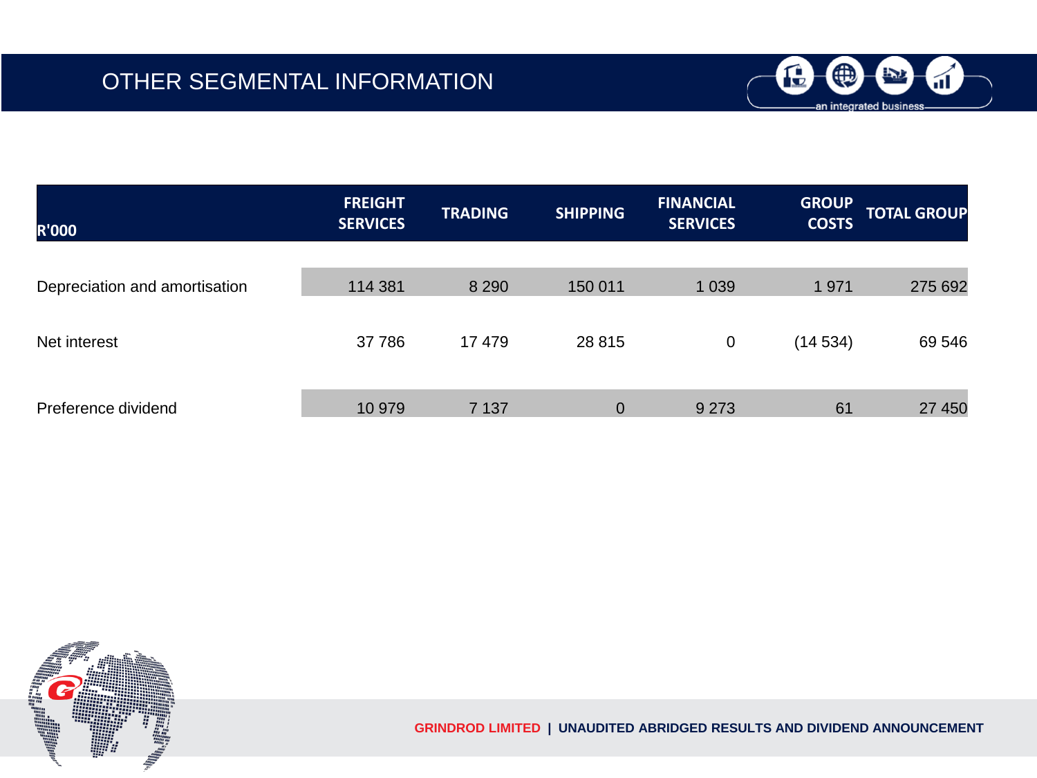

| <b>R'000</b>                  | <b>FREIGHT</b><br><b>SERVICES</b> | <b>TRADING</b> | <b>SHIPPING</b> | <b>FINANCIAL</b><br><b>SERVICES</b> | <b>GROUP</b><br><b>COSTS</b> | <b>TOTAL GROUP</b> |
|-------------------------------|-----------------------------------|----------------|-----------------|-------------------------------------|------------------------------|--------------------|
|                               |                                   |                |                 |                                     |                              |                    |
| Depreciation and amortisation | 114 381                           | 8 2 9 0        | 150 011         | 1 0 3 9                             | 1971                         | 275 692            |
|                               |                                   |                |                 |                                     |                              |                    |
| Net interest                  | 37 786                            | 17 479         | 28 8 15         | 0                                   | (14534)                      | 69 546             |
|                               |                                   |                |                 |                                     |                              |                    |
| Preference dividend           | 10 979                            | 7 1 3 7        | 0               | 9 2 7 3                             | 61                           | 27 450             |

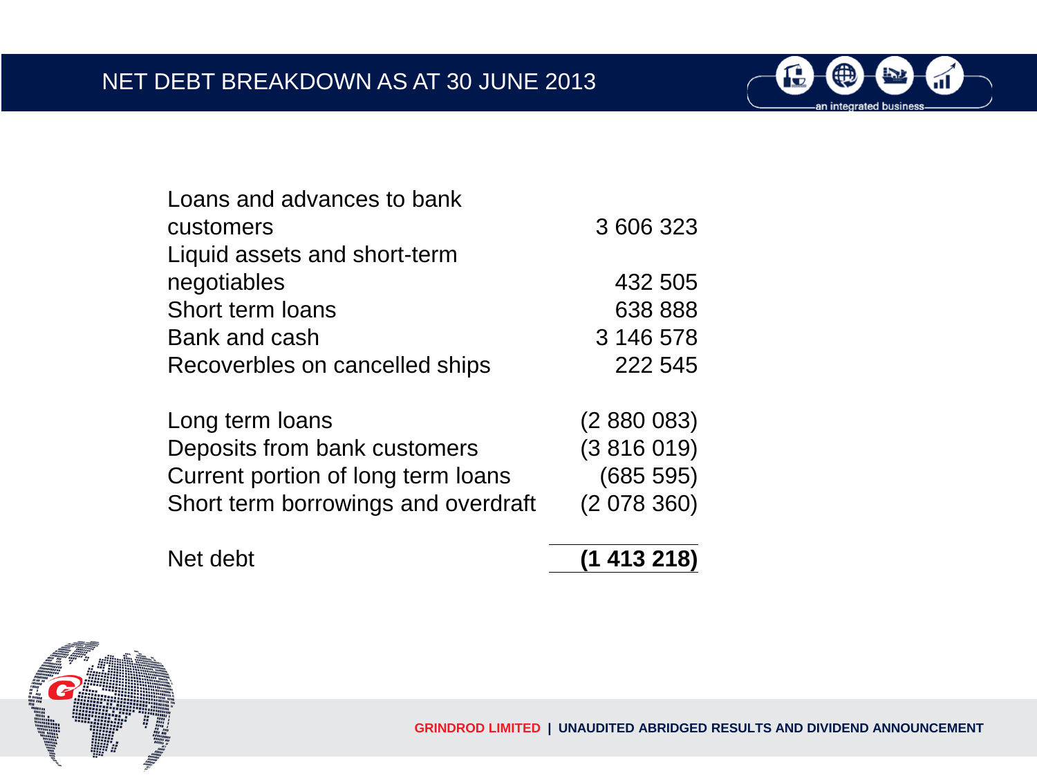

| Loans and advances to bank     |           |
|--------------------------------|-----------|
| customers                      | 3 606 323 |
| Liquid assets and short-term   |           |
| negotiables                    | 432 505   |
| Short term loans               | 638 888   |
| Bank and cash                  | 3 146 578 |
| Recoverbles on cancelled ships | 222 545   |

| Long term loans                     | (2880083) |
|-------------------------------------|-----------|
| Deposits from bank customers        | (3816019) |
| Current portion of long term loans  | (685 595) |
| Short term borrowings and overdraft | (2078360) |

| Net debt | (1413218) |
|----------|-----------|
|          |           |

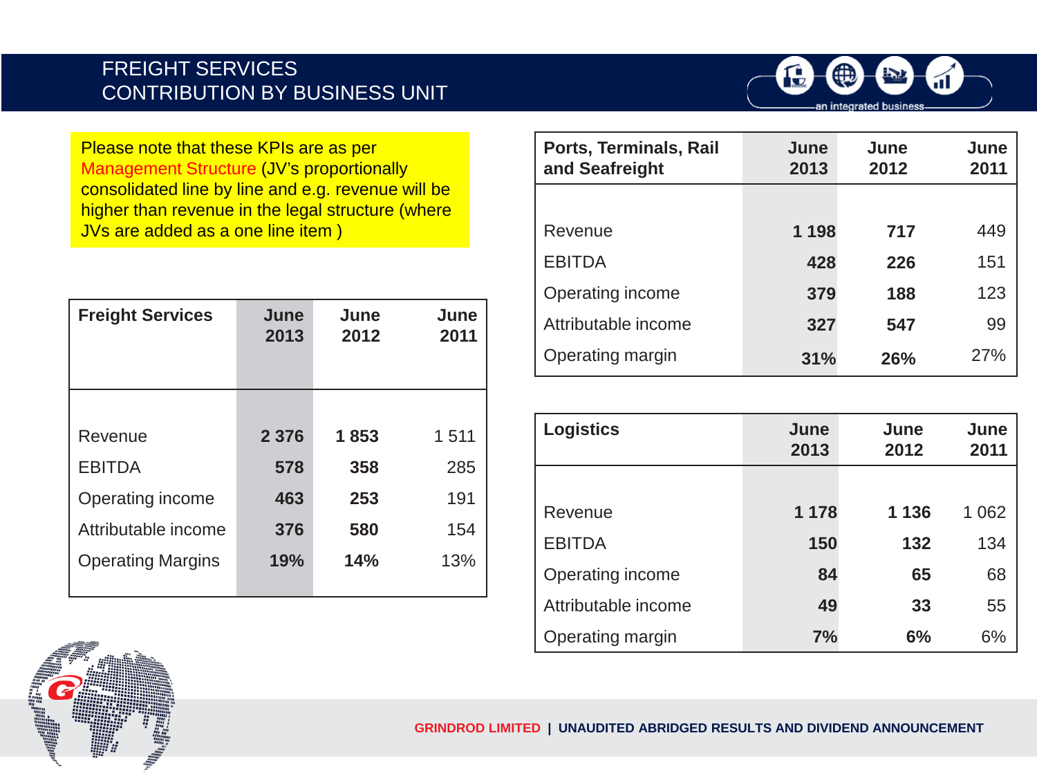#### FREIGHT SERVICES CONTRIBUTION BY BUSINESS UNIT



Please note that these KPIs are as per Management Structure (JV's proportionally consolidated line by line and e.g. revenue will be higher than revenue in the legal structure (where JVs are added as a one line item )

| <b>Freight Services</b>  | June<br>2013 | June<br>2012 | June<br>2011 |
|--------------------------|--------------|--------------|--------------|
|                          |              |              |              |
| Revenue                  | 2 3 7 6      | 1853         | 1511         |
| <b>EBITDA</b>            | 578          | 358          | 285          |
| Operating income         | 463          | 253          | 191          |
| Attributable income      | 376          | 580          | 154          |
| <b>Operating Margins</b> | 19%          | 14%          | 13%          |

| Ports, Terminals, Rail<br>and Seafreight | June<br>2013 | June<br>2012 | June<br>2011 |
|------------------------------------------|--------------|--------------|--------------|
|                                          |              |              |              |
| Revenue                                  | 1 1 9 8      | 717          | 449          |
| <b>EBITDA</b>                            | 428          | 226          | 151          |
| Operating income                         | 379          | 188          | 123          |
| Attributable income                      | 327          | 547          | 99           |
| Operating margin                         | 31%          | 26%          | 27%          |

| <b>Logistics</b>    | June<br>2013 | June<br>2012 | June<br>2011 |
|---------------------|--------------|--------------|--------------|
|                     |              |              |              |
| Revenue             | 1 1 7 8      | 1 1 3 6      | 1 0 6 2      |
| <b>EBITDA</b>       | 150          | 132          | 134          |
| Operating income    | 84           | 65           | 68           |
| Attributable income | 49           | 33           | 55           |
| Operating margin    | 7%           | 6%           | 6%           |

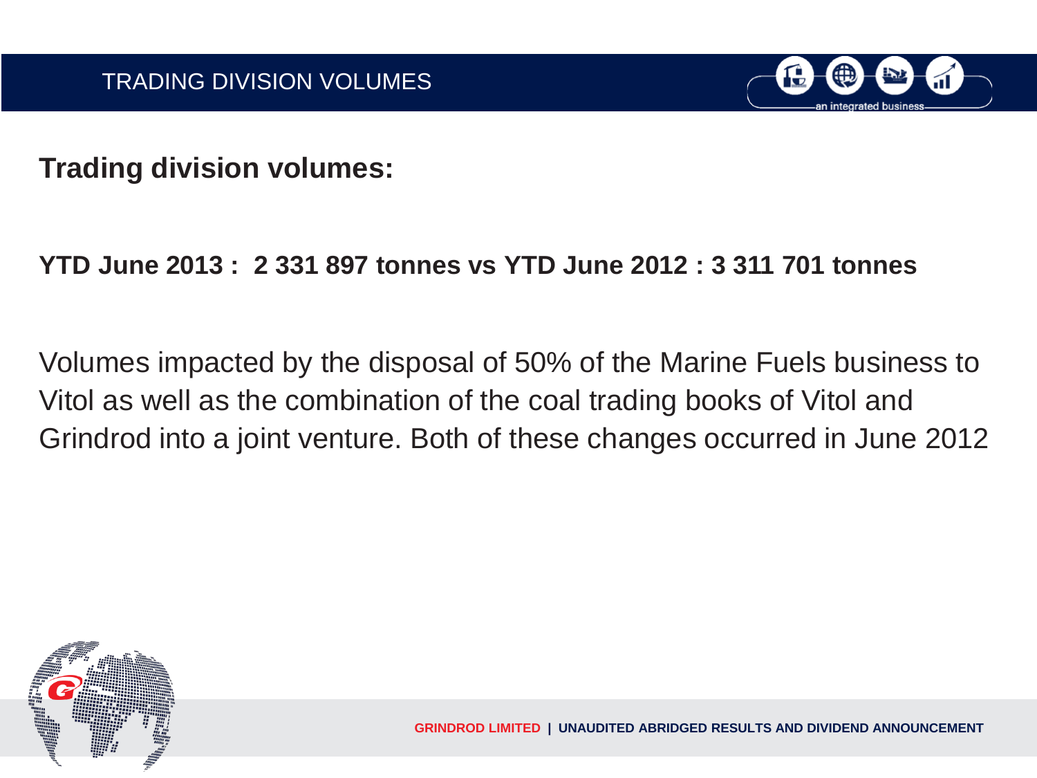

**Trading division volumes:** 

## **YTD June 2013 : 2 331 897 tonnes vs YTD June 2012 : 3 311 701 tonnes**

Volumes impacted by the disposal of 50% of the Marine Fuels business to Vitol as well as the combination of the coal trading books of Vitol and Grindrod into a joint venture. Both of these changes occurred in June 2012

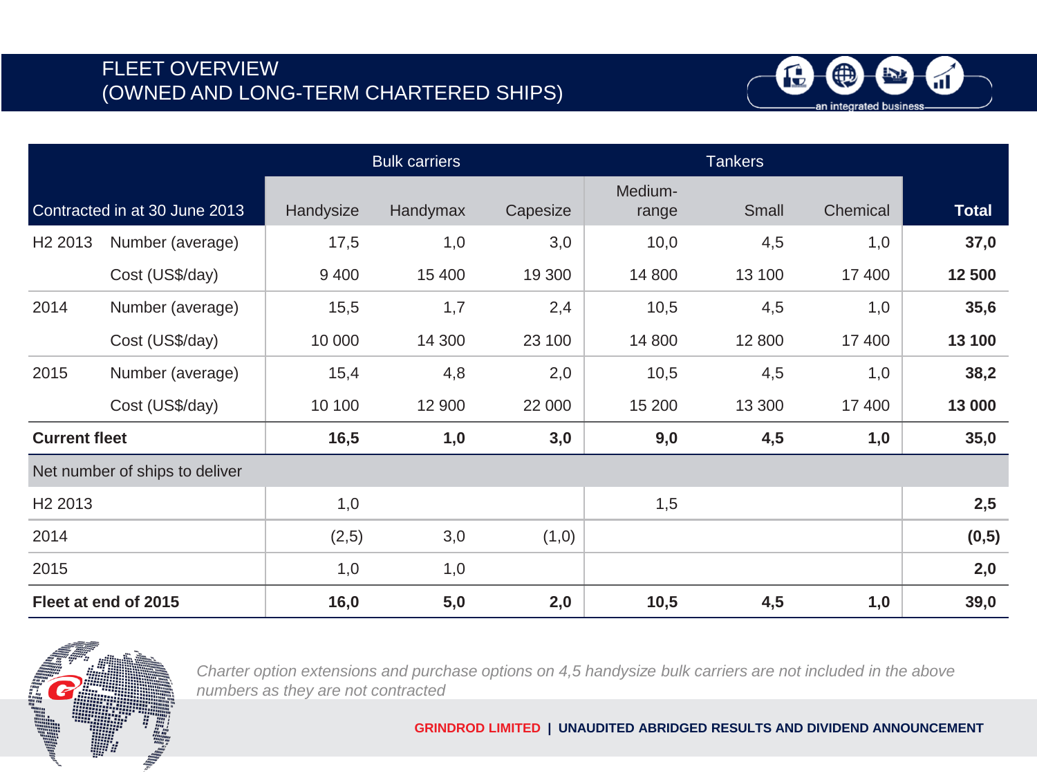### FLEET OVERVIEW (OWNED AND LONG-TERM CHARTERED SHIPS)



|                      |                                |           | <b>Bulk carriers</b><br><b>Tankers</b> |          |                  |        |          |              |
|----------------------|--------------------------------|-----------|----------------------------------------|----------|------------------|--------|----------|--------------|
|                      | Contracted in at 30 June 2013  | Handysize | Handymax                               | Capesize | Medium-<br>range | Small  | Chemical | <b>Total</b> |
| H <sub>2</sub> 2013  | Number (average)               | 17,5      | 1,0                                    | 3,0      | 10,0             | 4,5    | 1,0      | 37,0         |
|                      | Cost (US\$/day)                | 9 4 0 0   | 15 400                                 | 19 300   | 14 800           | 13 100 | 17 400   | 12 500       |
| 2014                 | Number (average)               | 15,5      | 1,7                                    | 2,4      | 10,5             | 4,5    | 1,0      | 35,6         |
|                      | Cost (US\$/day)                | 10 000    | 14 300                                 | 23 100   | 14 800           | 12 800 | 17 400   | 13 100       |
| 2015                 | Number (average)               | 15,4      | 4,8                                    | 2,0      | 10,5             | 4,5    | 1,0      | 38,2         |
|                      | Cost (US\$/day)                | 10 100    | 12 900                                 | 22 000   | 15 200           | 13 300 | 17 400   | 13 000       |
| <b>Current fleet</b> |                                | 16,5      | 1,0                                    | 3,0      | 9,0              | 4,5    | 1,0      | 35,0         |
|                      | Net number of ships to deliver |           |                                        |          |                  |        |          |              |
| H <sub>2</sub> 2013  |                                | 1,0       |                                        |          | 1,5              |        |          | 2,5          |
| 2014                 |                                | (2,5)     | 3,0                                    | (1,0)    |                  |        |          | (0,5)        |
| 2015                 |                                | 1,0       | 1,0                                    |          |                  |        |          | 2,0          |
|                      | Fleet at end of 2015           | 16,0      | 5,0                                    | 2,0      | 10,5             | 4,5    | 1,0      | 39,0         |



*Charter option extensions and purchase options on 4,5 handysize bulk carriers are not included in the above numbers as they are not contracted*

**GRINDROD LIMITED | UNAUDITED ABRIDGED RESULTS AND DIVIDEND ANNOUNCEMENT**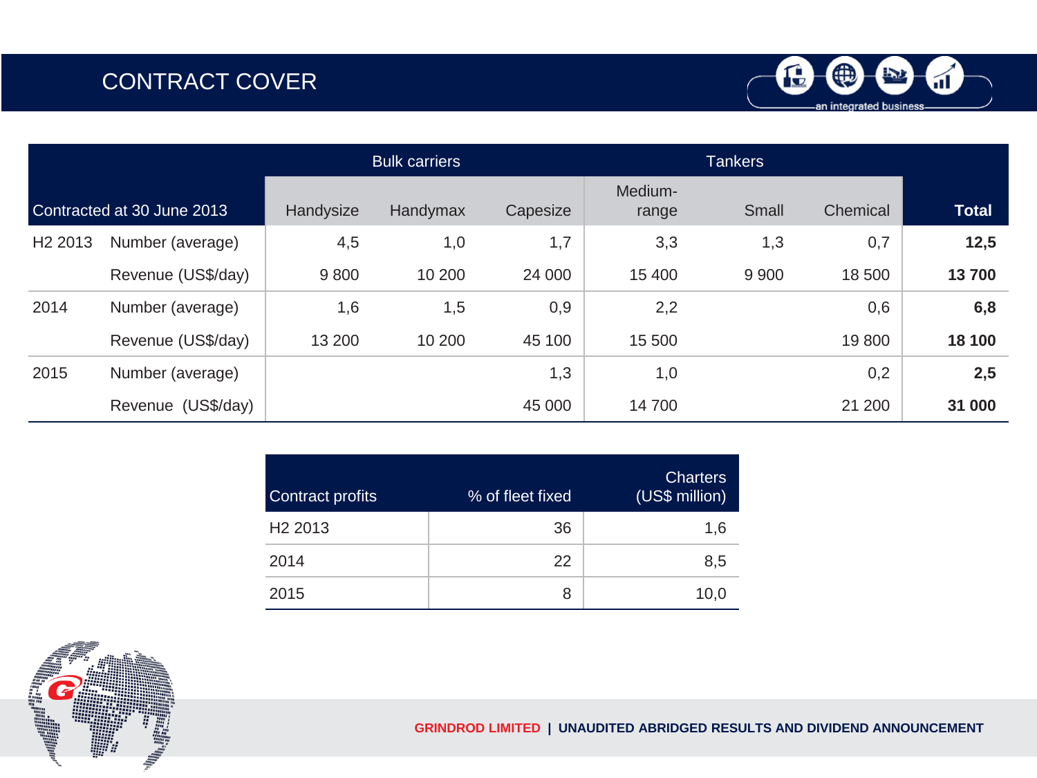## CONTRACT COVER



|                     |                            | <b>Bulk carriers</b> |          |          | <b>Tankers</b>   |         |          |              |
|---------------------|----------------------------|----------------------|----------|----------|------------------|---------|----------|--------------|
|                     | Contracted at 30 June 2013 | Handysize            | Handymax | Capesize | Medium-<br>range | Small   | Chemical | <b>Total</b> |
| H <sub>2</sub> 2013 | Number (average)           | 4,5                  | 1,0      | 1,7      | 3,3              | 1,3     | 0,7      | 12,5         |
|                     | Revenue (US\$/day)         | 9800                 | 10 200   | 24 000   | 15 400           | 9 9 0 0 | 18 500   | 13700        |
| 2014                | Number (average)           | 1,6                  | 1,5      | 0,9      | 2,2              |         | 0,6      | 6,8          |
|                     | Revenue (US\$/day)         | 13 200               | 10 200   | 45 100   | 15 500           |         | 19800    | 18 100       |
| 2015                | Number (average)           |                      |          | 1,3      | 1,0              |         | 0,2      | 2,5          |
|                     | Revenue (US\$/day)         |                      |          | 45 000   | 14 700           |         | 21 200   | 31 000       |

| Contract profits    | % of fleet fixed | <b>Charters</b><br>(US\$ million) |
|---------------------|------------------|-----------------------------------|
| H <sub>2</sub> 2013 | 36               | 1.6                               |
| 2014                | 22               | 8,5                               |
| 2015                | 8                | 10,0                              |



**GRINDROD LIMITED | UNAUDITED ABRIDGED RESULTS AND DIVIDEND ANNOUNCEMENT**